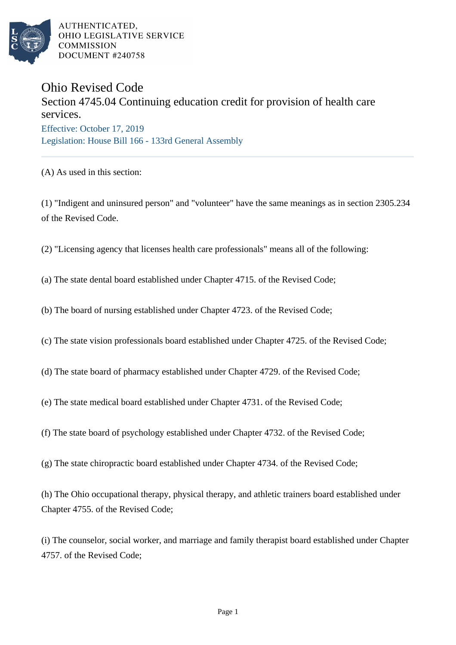

AUTHENTICATED, OHIO LEGISLATIVE SERVICE **COMMISSION** DOCUMENT #240758

## Ohio Revised Code

## Section 4745.04 Continuing education credit for provision of health care services. Effective: October 17, 2019

Legislation: House Bill 166 - 133rd General Assembly

(A) As used in this section:

(1) "Indigent and uninsured person" and "volunteer" have the same meanings as in section 2305.234 of the Revised Code.

(2) "Licensing agency that licenses health care professionals" means all of the following:

(a) The state dental board established under Chapter 4715. of the Revised Code;

(b) The board of nursing established under Chapter 4723. of the Revised Code;

(c) The state vision professionals board established under Chapter 4725. of the Revised Code;

(d) The state board of pharmacy established under Chapter 4729. of the Revised Code;

(e) The state medical board established under Chapter 4731. of the Revised Code;

(f) The state board of psychology established under Chapter 4732. of the Revised Code;

(g) The state chiropractic board established under Chapter 4734. of the Revised Code;

(h) The Ohio occupational therapy, physical therapy, and athletic trainers board established under Chapter 4755. of the Revised Code;

(i) The counselor, social worker, and marriage and family therapist board established under Chapter 4757. of the Revised Code;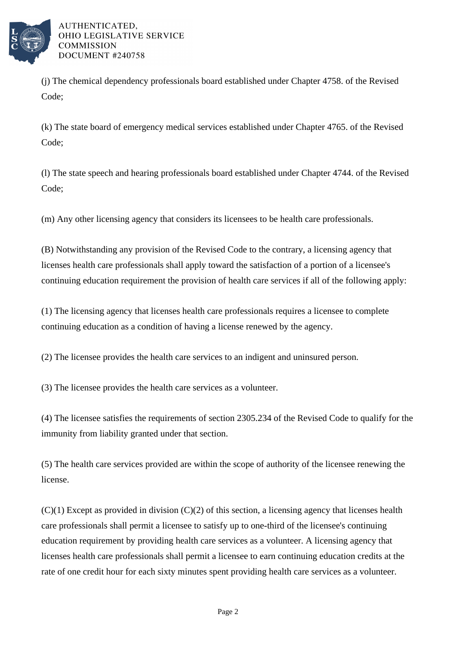

AUTHENTICATED. OHIO LEGISLATIVE SERVICE **COMMISSION** DOCUMENT #240758

(j) The chemical dependency professionals board established under Chapter 4758. of the Revised Code;

(k) The state board of emergency medical services established under Chapter 4765. of the Revised Code;

(l) The state speech and hearing professionals board established under Chapter 4744. of the Revised Code;

(m) Any other licensing agency that considers its licensees to be health care professionals.

(B) Notwithstanding any provision of the Revised Code to the contrary, a licensing agency that licenses health care professionals shall apply toward the satisfaction of a portion of a licensee's continuing education requirement the provision of health care services if all of the following apply:

(1) The licensing agency that licenses health care professionals requires a licensee to complete continuing education as a condition of having a license renewed by the agency.

(2) The licensee provides the health care services to an indigent and uninsured person.

(3) The licensee provides the health care services as a volunteer.

(4) The licensee satisfies the requirements of section 2305.234 of the Revised Code to qualify for the immunity from liability granted under that section.

(5) The health care services provided are within the scope of authority of the licensee renewing the license.

 $(C)(1)$  Except as provided in division  $(C)(2)$  of this section, a licensing agency that licenses health care professionals shall permit a licensee to satisfy up to one-third of the licensee's continuing education requirement by providing health care services as a volunteer. A licensing agency that licenses health care professionals shall permit a licensee to earn continuing education credits at the rate of one credit hour for each sixty minutes spent providing health care services as a volunteer.